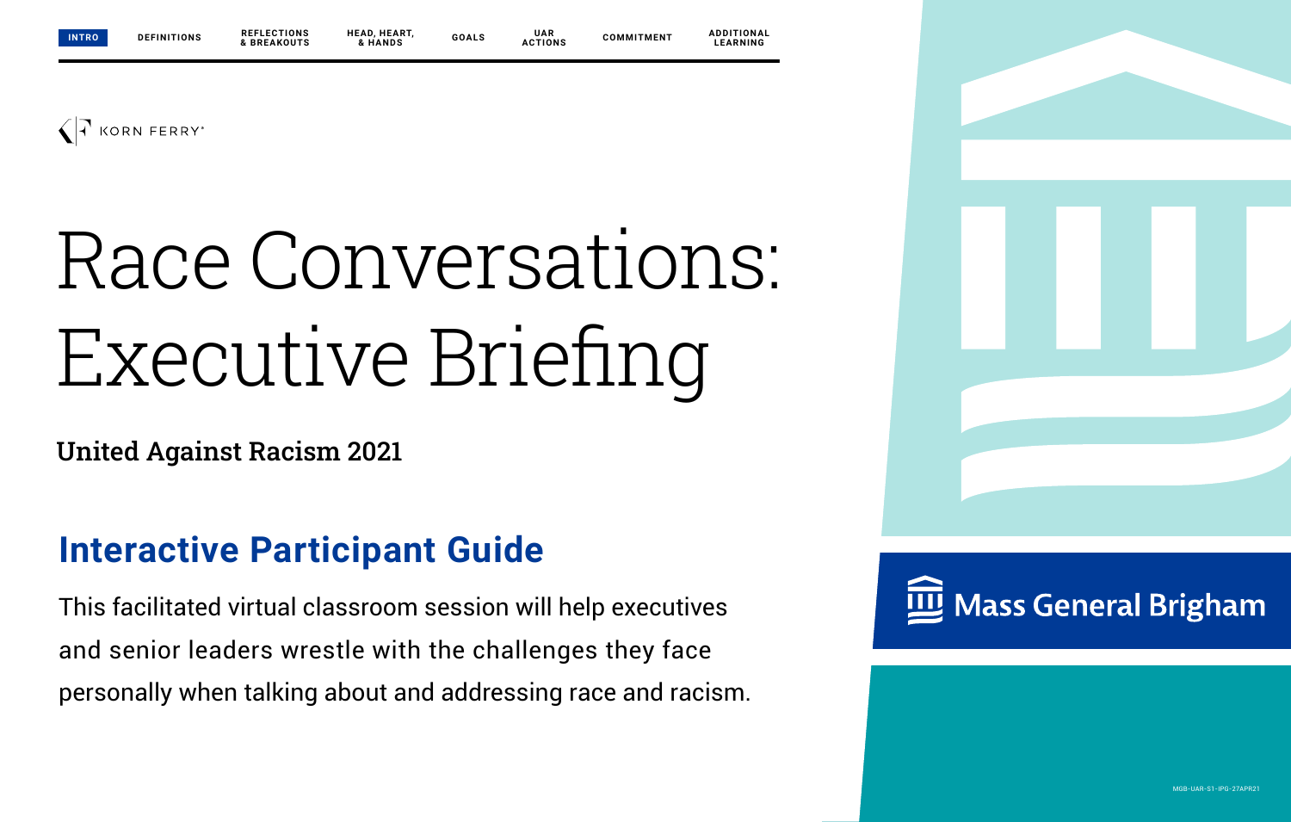

# Race Conversations: Executive Briefing

United Against Racism 2021

## **Interactive Participant Guide**

This facilitated virtual classroom session will help executives and senior leaders wrestle with the challenges they face personally when talking about and addressing race and racism.



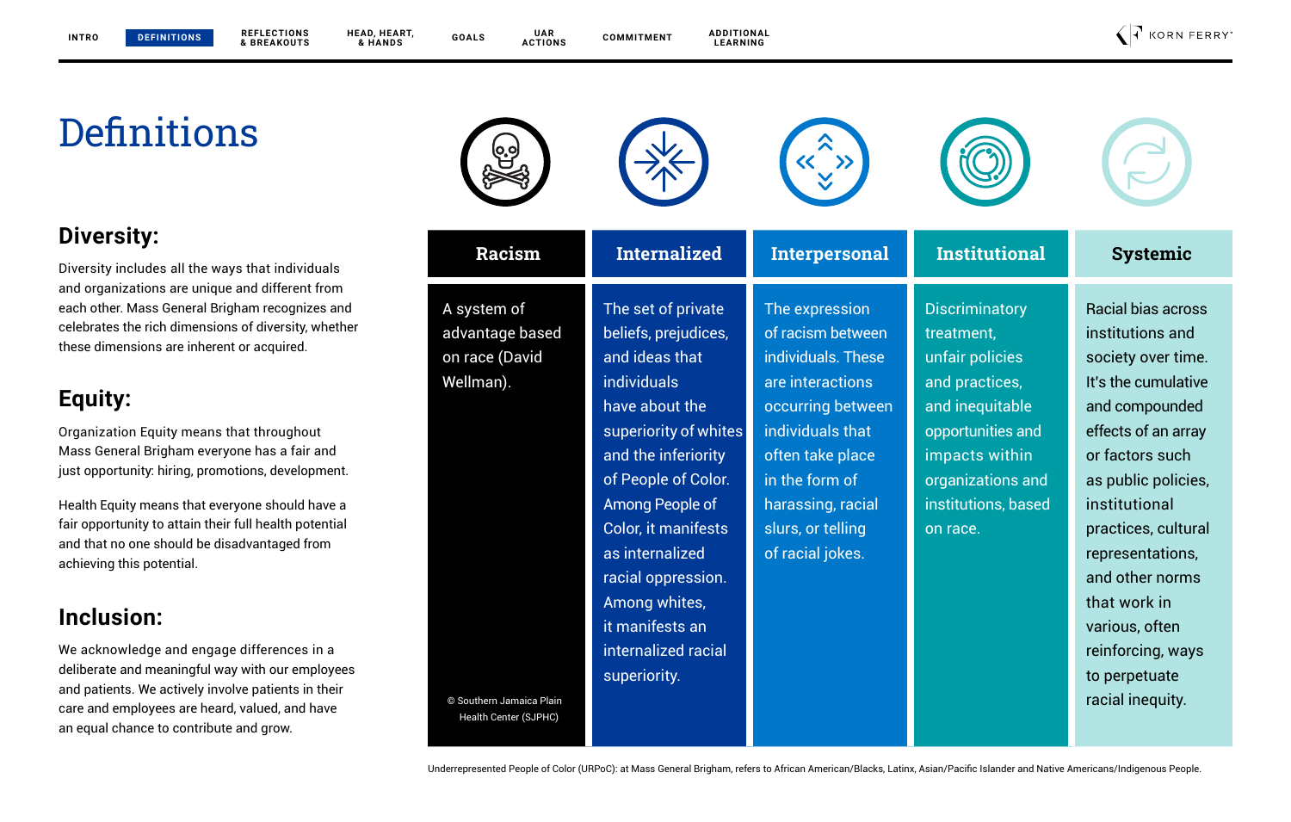## **Definitions**

**DEFINITIONS**

### **Diversity:**

Diversity includes all the ways that individuals and organizations are unique and different from each other. Mass General Brigham recognizes and celebrates the rich dimensions of diversity, whether these dimensions are inherent or acquired.

### **Equity:**

Organization Equity means that throughout Mass General Brigham everyone has a fair and just opportunity: hiring, promotions, development.

Health Equity means that everyone should have a fair opportunity to attain their full health potential and that no one should be disadvantaged from achieving this potential.

### **Inclusion:**

We acknowledge and engage differences in a deliberate and meaningful way with our employees and patients. We actively involve patients in their care and employees are heard, valued, and have an equal chance to contribute and grow.

|               |              | œ                               |                                      |                       |
|---------------|--------------|---------------------------------|--------------------------------------|-----------------------|
| <b>Racism</b> | Internalized | Interpersonal                   | <b>Institutional</b>                 | <b>Systemic</b>       |
| .             | せじょうしょう たいぶん | tria de la concelho de la facta | <b>Industrial Control of America</b> | massial latera a cons |



Health Center (SJPHC)



The expression of racism between individuals. These are interactions occurring between individuals that often take place in the form of harassing, racial slurs, or telling of racial jokes.

**Discriminatory** treatment, unfair policies and practices, and inequitable opportunities and impacts within organizations and institutions, based on race.

Racial bias across institutions and society over time. It's the cumulative and compounded effects of an array or factors such as public policies, institutional practices, cultural representations, and other norms that work in various, often reinforcing, ways to perpetuate

Underrepresented People of Color (URPoC): at Mass General Brigham, refers to African American/Blacks, Latinx, Asian/Pacific Islander and Native Americans/Indigenous People.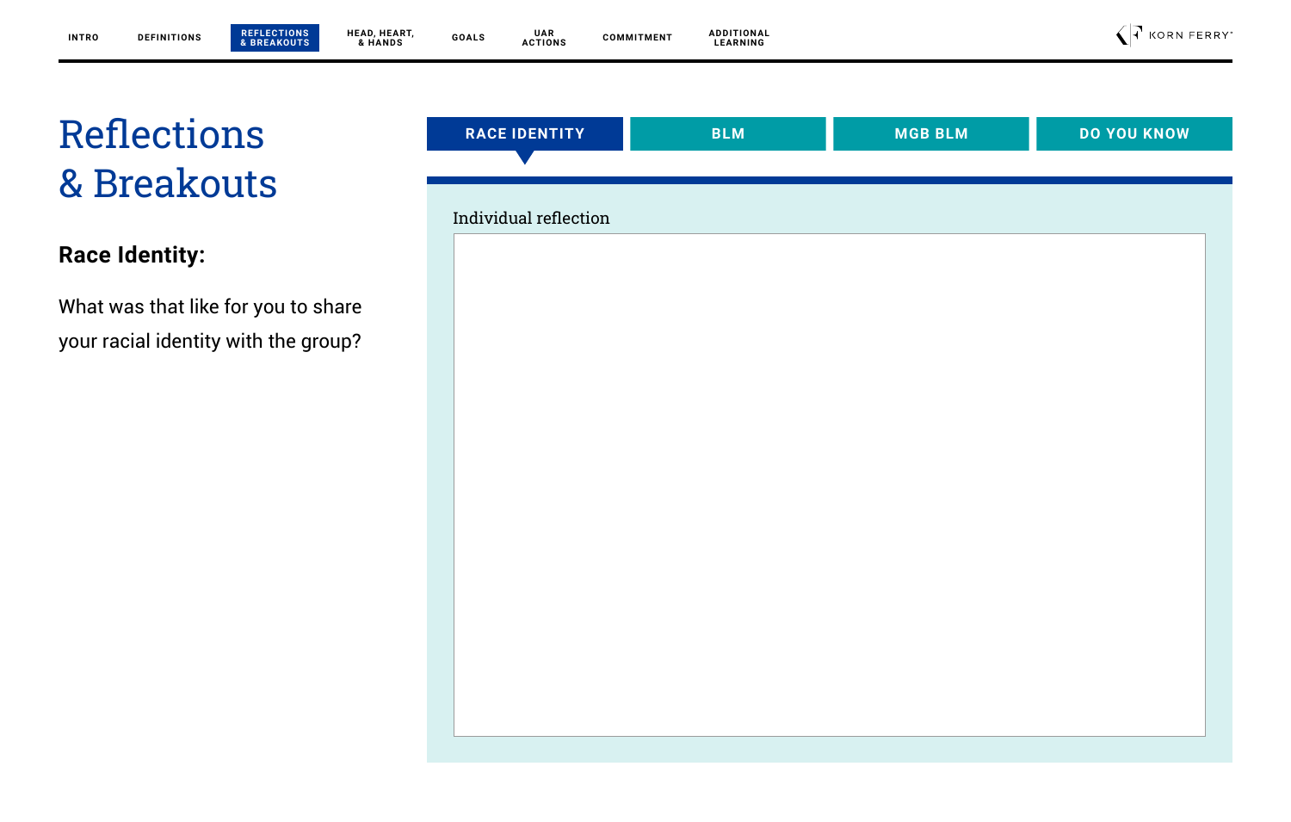### **Race Identity:**

What was that like for you to share your racial identity with the group?

| <b>RACE IDENTITY</b>  | <b>BLM</b> | <b>MGB BLM</b> | <b>DO YOU KNOW</b> |
|-----------------------|------------|----------------|--------------------|
|                       |            |                |                    |
| Individual reflection |            |                |                    |
|                       |            |                |                    |
|                       |            |                |                    |
|                       |            |                |                    |
|                       |            |                |                    |
|                       |            |                |                    |
|                       |            |                |                    |
|                       |            |                |                    |
|                       |            |                |                    |
|                       |            |                |                    |
|                       |            |                |                    |
|                       |            |                |                    |
|                       |            |                |                    |
|                       |            |                |                    |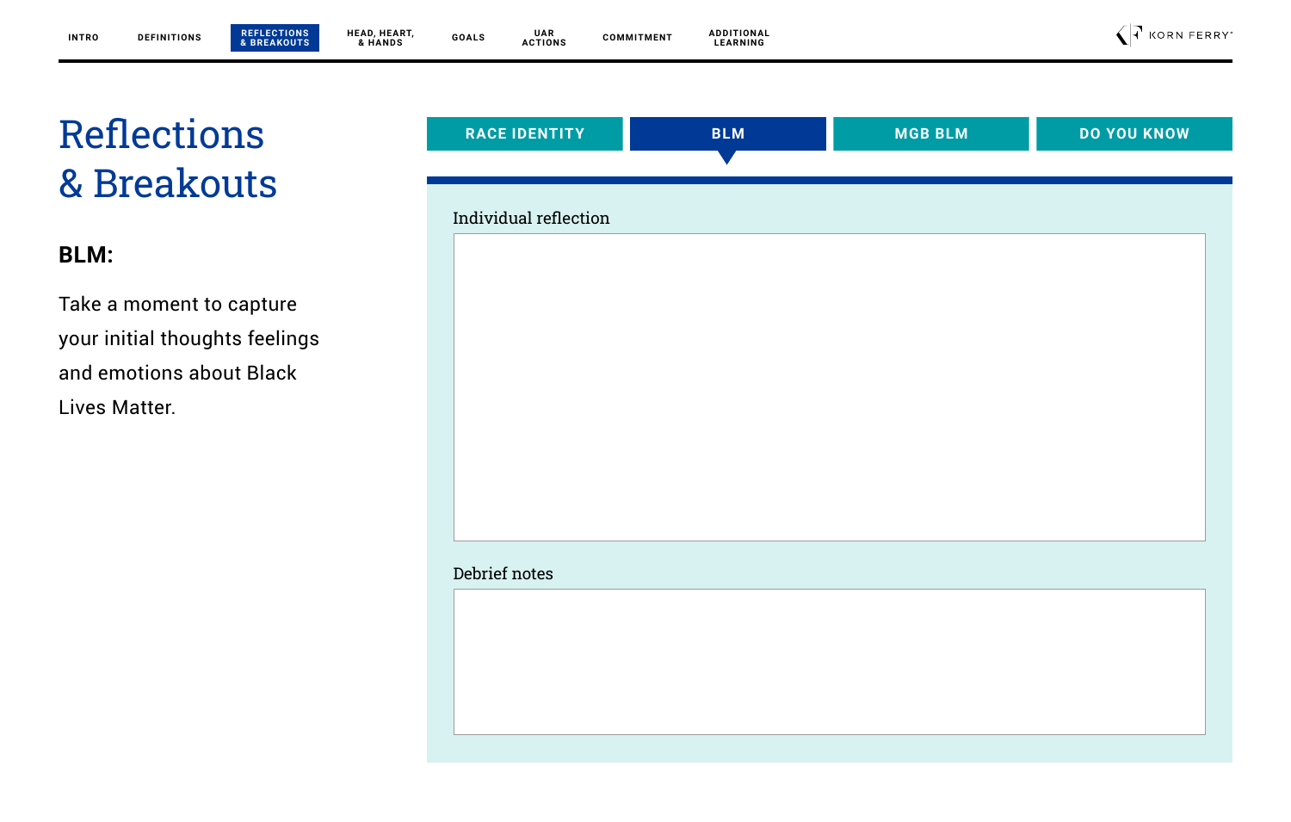**BLM:**

Take a moment to capture your initial thoughts feelings and emotions about Black Lives Matter.

| Individual reflection |  |  |
|-----------------------|--|--|
|                       |  |  |
|                       |  |  |
|                       |  |  |
|                       |  |  |
|                       |  |  |
|                       |  |  |
|                       |  |  |
|                       |  |  |
|                       |  |  |
| Debrief notes         |  |  |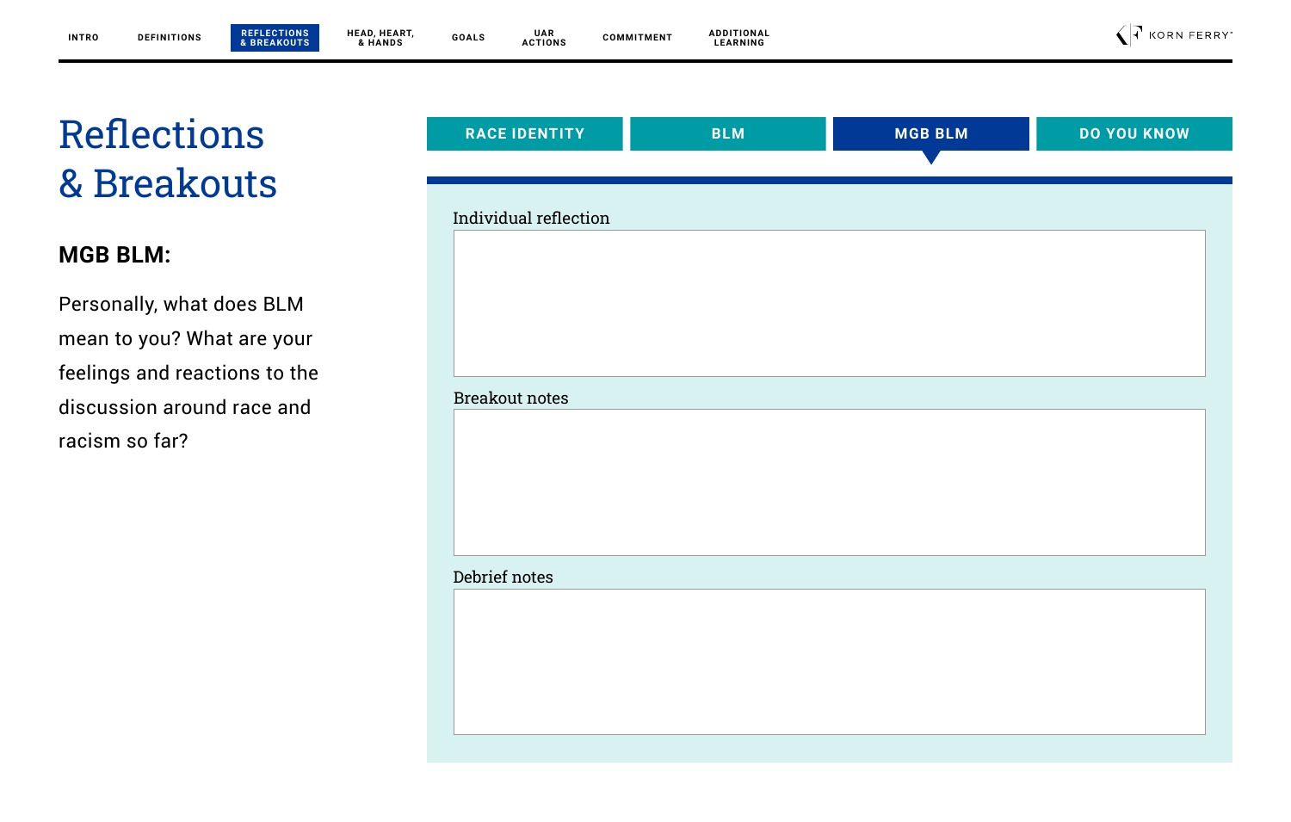### **MGB BLM:**

Personally, what does BLM mean to you? What are your feelings and reactions to the discussion around race and racism so far?

| <b>RACE IDENTITY</b>  | <b>BLM</b> | <b>MGB BLM</b> | <b>DO YOU KNOW</b> |
|-----------------------|------------|----------------|--------------------|
|                       |            |                |                    |
|                       |            |                |                    |
| Individual reflection |            |                |                    |
|                       |            |                |                    |
|                       |            |                |                    |
|                       |            |                |                    |
|                       |            |                |                    |
|                       |            |                |                    |
| <b>Breakout notes</b> |            |                |                    |
|                       |            |                |                    |
|                       |            |                |                    |
|                       |            |                |                    |
|                       |            |                |                    |
|                       |            |                |                    |
|                       |            |                |                    |
| Debrief notes         |            |                |                    |
|                       |            |                |                    |
|                       |            |                |                    |
|                       |            |                |                    |
|                       |            |                |                    |
|                       |            |                |                    |
|                       |            |                |                    |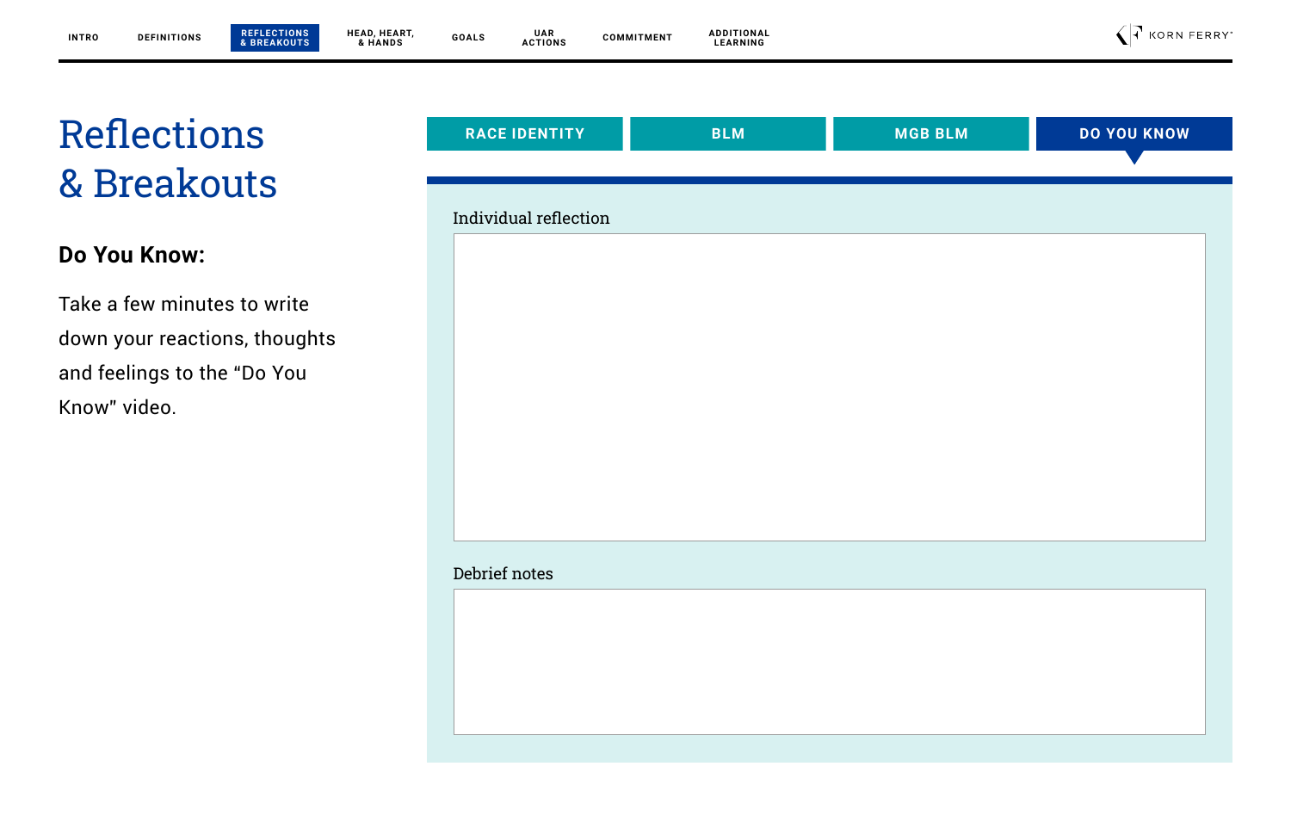### **Do You Know:**

Take a few minutes to write down your reactions, thoughts and feelings to the "Do You Know" video.

| <b>RACE IDENTITY</b>  | <b>BLM</b> | <b>MGB BLM</b> | <b>DO YOU KNOW</b> |
|-----------------------|------------|----------------|--------------------|
|                       |            |                |                    |
|                       |            |                |                    |
| Individual reflection |            |                |                    |
|                       |            |                |                    |
|                       |            |                |                    |
|                       |            |                |                    |
|                       |            |                |                    |
|                       |            |                |                    |
|                       |            |                |                    |
|                       |            |                |                    |
|                       |            |                |                    |
|                       |            |                |                    |
|                       |            |                |                    |
|                       |            |                |                    |
|                       |            |                |                    |
| Debrief notes         |            |                |                    |
|                       |            |                |                    |
|                       |            |                |                    |
|                       |            |                |                    |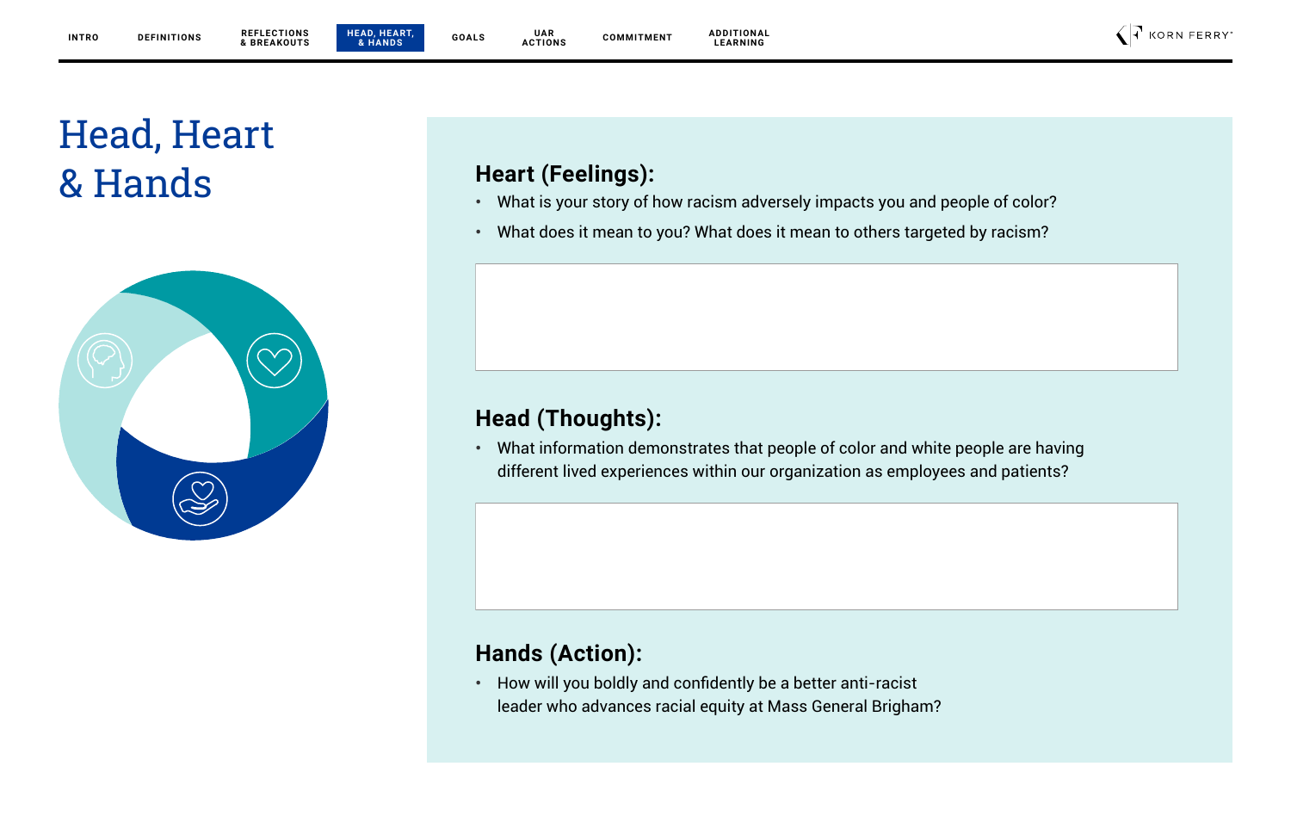**UAR ACTIONS**





 $\bigcap$  KORN FERRY

## Head, Heart & Hands **Heart (Feelings):**



- **•** What is your story of how racism adversely impacts you and people of color?
- **•** What does it mean to you? What does it mean to others targeted by racism?

### **Head (Thoughts):**

**•** What information demonstrates that people of color and white people are having different lived experiences within our organization as employees and patients?

### **Hands (Action):**

**•** How will you boldly and confidently be a better anti-racist leader who advances racial equity at Mass General Brigham?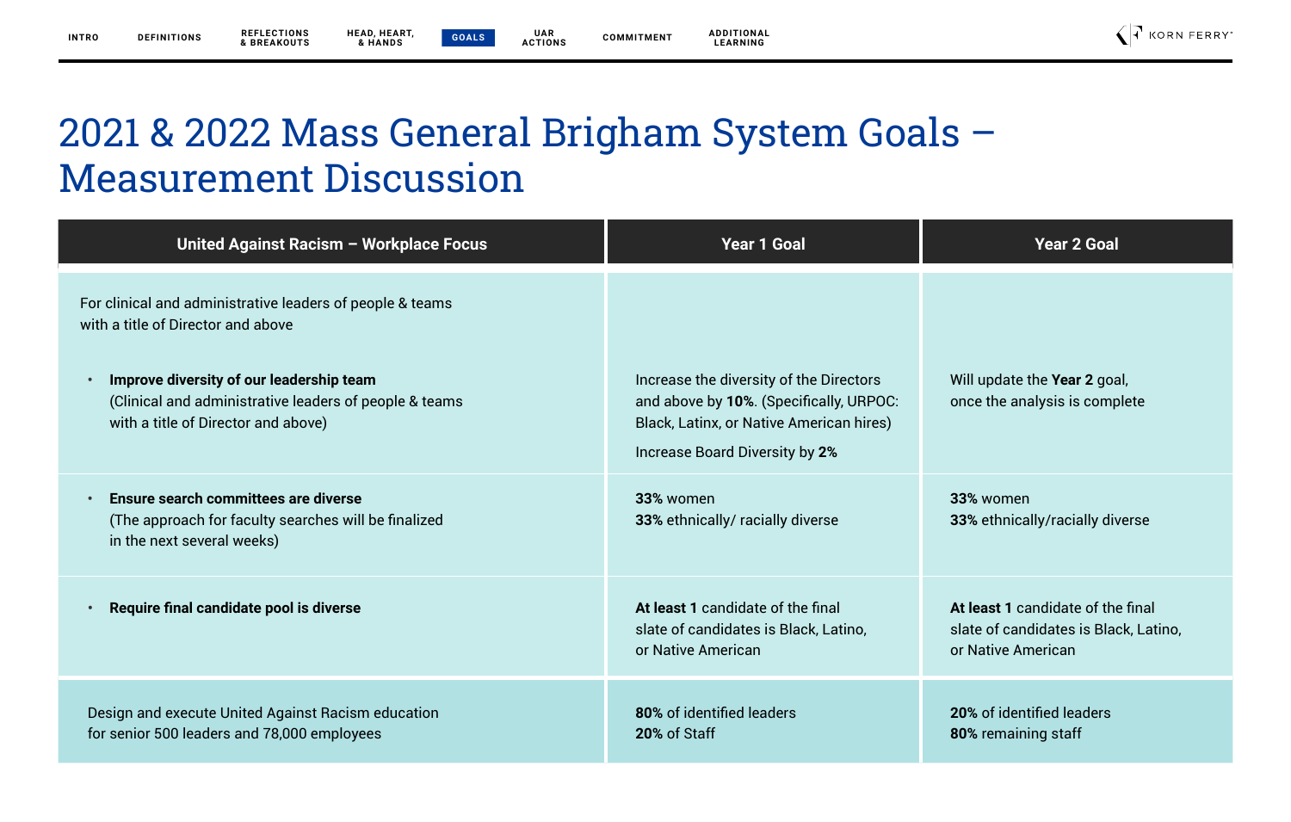**UAR ACTIONS** **ADDITIONAL LEARNING**

 $\bigcap$  KORN FERRY

## 2021 & 2022 Mass General Brigham System Goals – Measurement Discussion

| United Against Racism - Workplace Focus                                                                                                                                                                                                                   | <b>Year 1 Goal</b>                                                                                                                                               | <b>Year 2 Goal</b>                                                                               |
|-----------------------------------------------------------------------------------------------------------------------------------------------------------------------------------------------------------------------------------------------------------|------------------------------------------------------------------------------------------------------------------------------------------------------------------|--------------------------------------------------------------------------------------------------|
| For clinical and administrative leaders of people & teams<br>with a title of Director and above<br>Improve diversity of our leadership team<br>$\bullet$<br>(Clinical and administrative leaders of people & teams<br>with a title of Director and above) | Increase the diversity of the Directors<br>and above by 10%. (Specifically, URPOC:<br>Black, Latinx, or Native American hires)<br>Increase Board Diversity by 2% | Will update the Year 2 goal,<br>once the analysis is complete                                    |
| Ensure search committees are diverse<br>$\bullet$<br>(The approach for faculty searches will be finalized<br>in the next several weeks)                                                                                                                   | 33% women<br>33% ethnically/ racially diverse                                                                                                                    | 33% women<br>33% ethnically/racially diverse                                                     |
| Require final candidate pool is diverse                                                                                                                                                                                                                   | At least 1 candidate of the final<br>slate of candidates is Black, Latino,<br>or Native American                                                                 | At least 1 candidate of the final<br>slate of candidates is Black, Latino,<br>or Native American |
| Design and execute United Against Racism education<br>for senior 500 leaders and 78,000 employees                                                                                                                                                         | 80% of identified leaders<br>20% of Staff                                                                                                                        | 20% of identified leaders<br>80% remaining staff                                                 |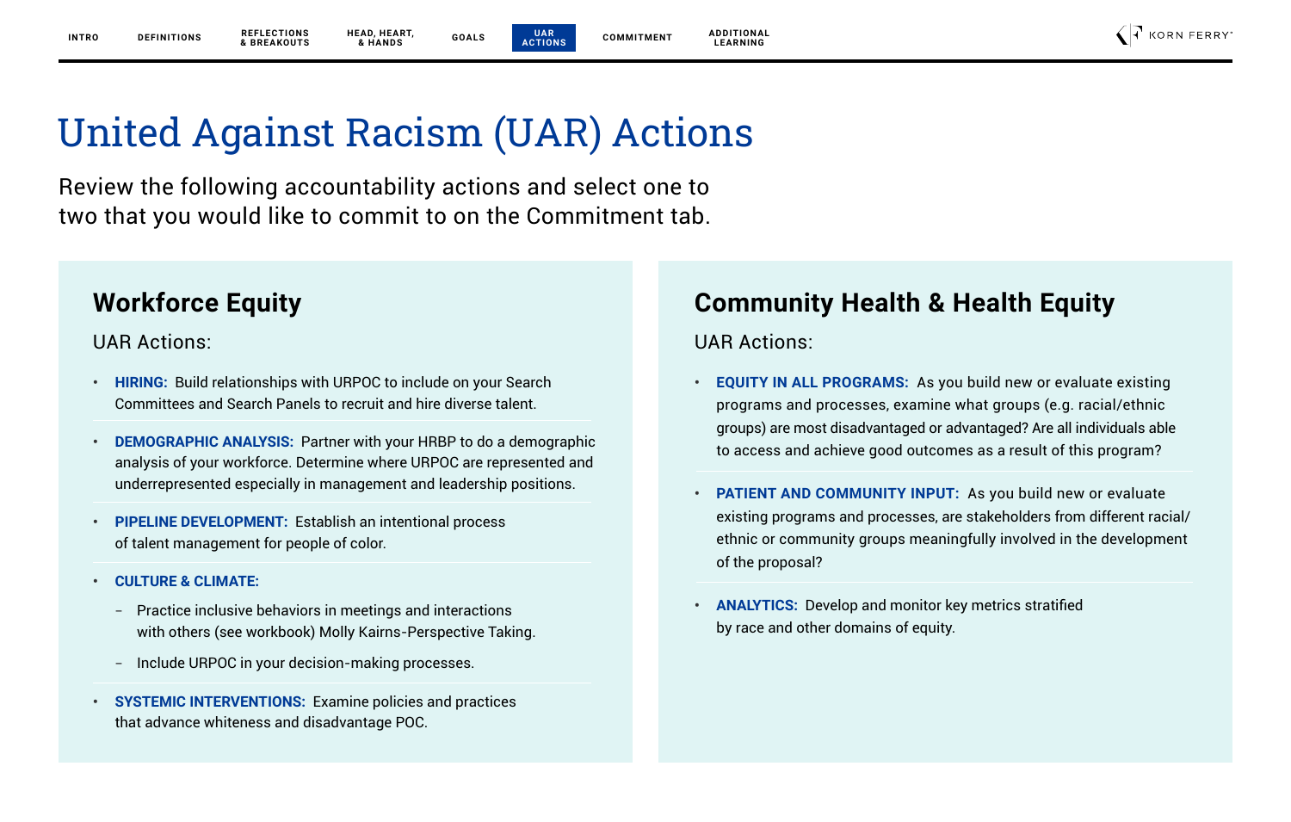**UAR ACTIONS**

**ADDITIONAL LEARNING**

## United Against Racism (UAR) Actions

Review the following accountability actions and select one to two that you would like to commit to on the Commitment tab.

### **Workforce Equity**

UAR Actions:

- **• HIRING:** Build relationships with URPOC to include on your Search Committees and Search Panels to recruit and hire diverse talent.
- **• DEMOGRAPHIC ANALYSIS:** Partner with your HRBP to do a demographic analysis of your workforce. Determine where URPOC are represented and underrepresented especially in management and leadership positions.
- **• PIPELINE DEVELOPMENT:** Establish an intentional process of talent management for people of color.
- **• CULTURE & CLIMATE:** 
	- Practice inclusive behaviors in meetings and interactions with others (see workbook) Molly Kairns-Perspective Taking.
	- Include URPOC in your decision-making processes.
- **• SYSTEMIC INTERVENTIONS:** Examine policies and practices that advance whiteness and disadvantage POC.

## **Community Health & Health Equity**

UAR Actions:

- **• EQUITY IN ALL PROGRAMS:** As you build new or evaluate existing programs and processes, examine what groups (e.g. racial/ethnic groups) are most disadvantaged or advantaged? Are all individuals able to access and achieve good outcomes as a result of this program?
- **• PATIENT AND COMMUNITY INPUT:** As you build new or evaluate existing programs and processes, are stakeholders from different racial/ ethnic or community groups meaningfully involved in the development of the proposal?
- **• ANALYTICS:** Develop and monitor key metrics stratified by race and other domains of equity.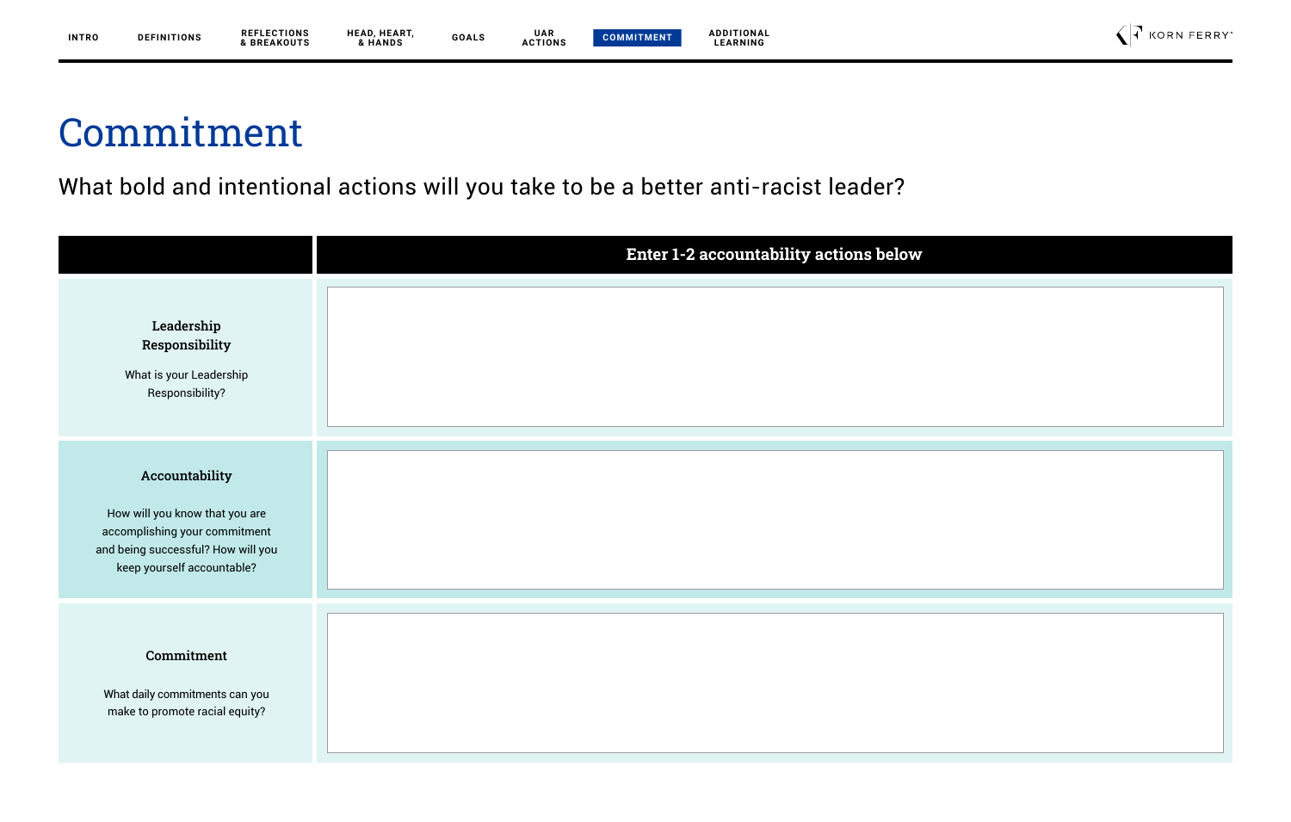### **ADDITIONAL LEARNING**

## Commitment

What bold and intentional actions will you take to be a better anti-racist leader?

|                                                                                                                                                       | Enter 1-2 accountability actions below |
|-------------------------------------------------------------------------------------------------------------------------------------------------------|----------------------------------------|
| Leadership<br>Responsibility<br>What is your Leadership<br>Responsibility?                                                                            |                                        |
| Accountability<br>How will you know that you are<br>accomplishing your commitment<br>and being successful? How will you<br>keep yourself accountable? |                                        |
| Commitment<br>What daily commitments can you<br>make to promote racial equity?                                                                        |                                        |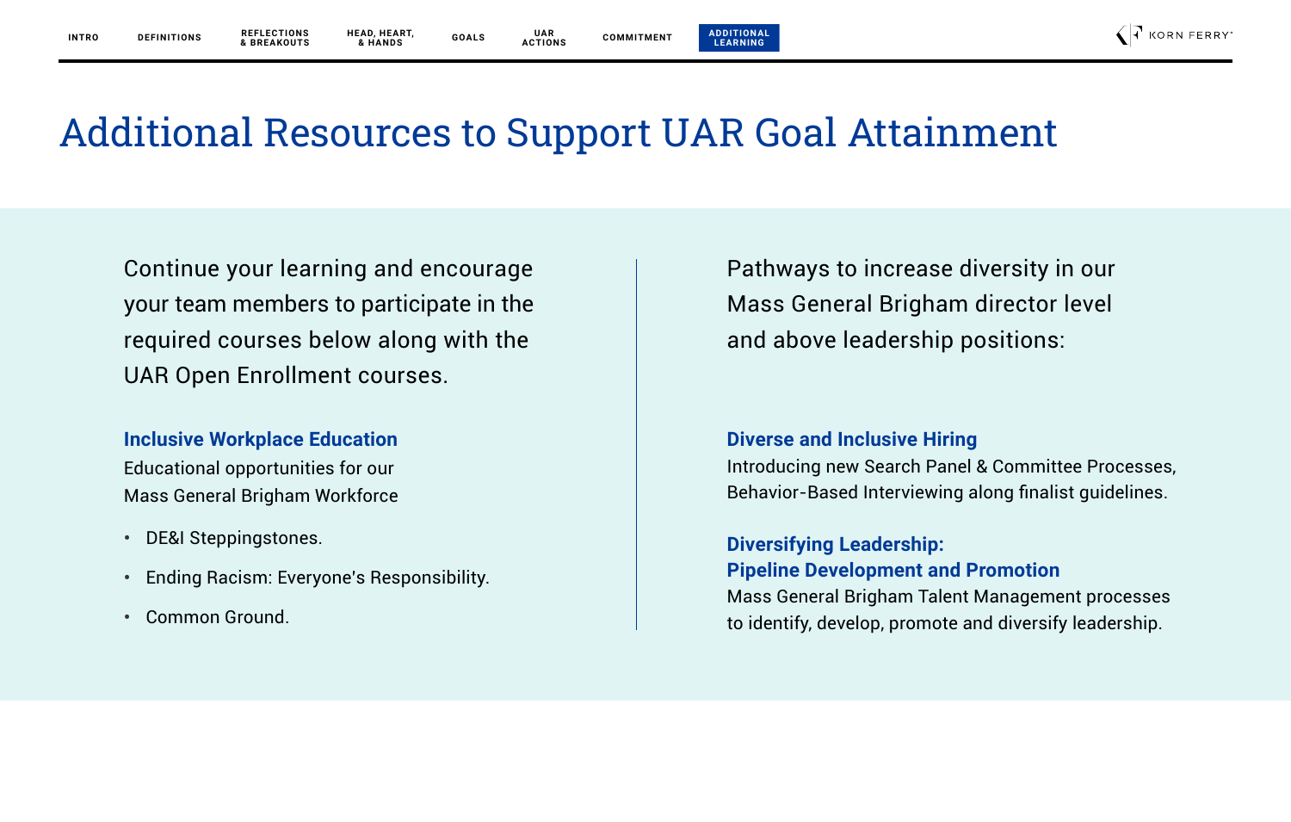**ACTIONS**

**ADDITIONAL LEARNING**

H KORN FERRY

## Additional Resources to Support UAR Goal Attainment

**UAR**

Continue your learning and encourage your team members to participate in the required courses below along with the UAR Open Enrollment courses.

**Inclusive Workplace Education** Educational opportunities for our Mass General Brigham Workforce

- **•** DE&I Steppingstones.
- **•** Ending Racism: Everyone's Responsibility.
- **•** Common Ground.

Pathways to increase diversity in our Mass General Brigham director level and above leadership positions:

### **Diverse and Inclusive Hiring**

Introducing new Search Panel & Committee Processes, Behavior-Based Interviewing along finalist guidelines.

**Diversifying Leadership: Pipeline Development and Promotion**  Mass General Brigham Talent Management processes to identify, develop, promote and diversify leadership.